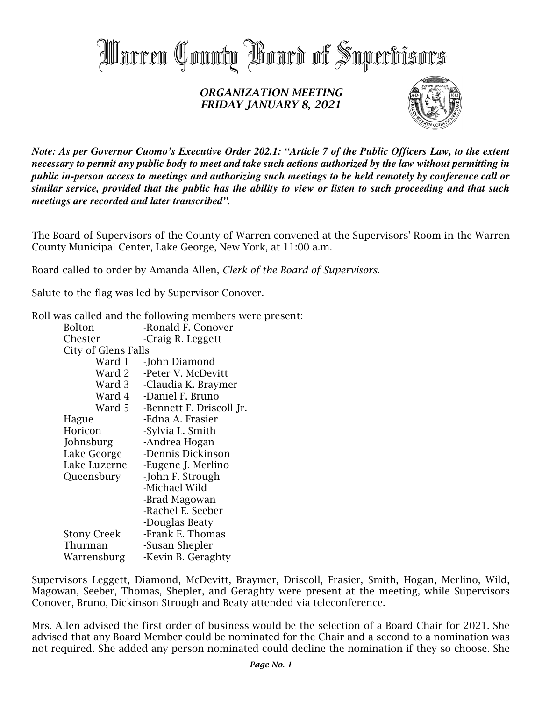

## ORGANIZATION MEETING FRIDAY JANUARY 8, 2021



*Note: As per Governor Cuomo's Executive Order 202.1: "Article 7 of the Public Officers Law, to the extent necessary to permit any public body to meet and take such actions authorized by the law without permitting in public in-person access to meetings and authorizing such meetings to be held remotely by conference call or similar service, provided that the public has the ability to view or listen to such proceeding and that such meetings are recorded and later transcribed".*

The Board of Supervisors of the County of Warren convened at the Supervisors' Room in the Warren County Municipal Center, Lake George, New York, at 11:00 a.m.

Board called to order by Amanda Allen, Clerk of the Board of Supervisors.

Salute to the flag was led by Supervisor Conover.

Roll was called and the following members were present:

| <b>Bolton</b>       | -Ronald F. Conover       |
|---------------------|--------------------------|
| Chester             | -Craig R. Leggett        |
| City of Glens Falls |                          |
| Ward 1              | -John Diamond            |
| Ward 2              | -Peter V. McDevitt       |
| Ward 3              | -Claudia K. Braymer      |
| Ward 4              | -Daniel F. Bruno         |
| Ward 5              | -Bennett F. Driscoll Jr. |
| Hague               | -Edna A. Frasier         |
| Horicon             | -Sylvia L. Smith         |
| Johnsburg           | -Andrea Hogan            |
| Lake George         | -Dennis Dickinson        |
| Lake Luzerne        | -Eugene J. Merlino       |
| Queensbury          | -John F. Strough         |
|                     | -Michael Wild            |
|                     | -Brad Magowan            |
|                     | -Rachel E. Seeber        |
|                     | -Douglas Beaty           |
| <b>Stony Creek</b>  | -Frank E. Thomas         |
| Thurman             | -Susan Shepler           |
| Warrensburg         | -Kevin B. Geraghty       |
|                     |                          |

Supervisors Leggett, Diamond, McDevitt, Braymer, Driscoll, Frasier, Smith, Hogan, Merlino, Wild, Magowan, Seeber, Thomas, Shepler, and Geraghty were present at the meeting, while Supervisors Conover, Bruno, Dickinson Strough and Beaty attended via teleconference.

Mrs. Allen advised the first order of business would be the selection of a Board Chair for 2021. She advised that any Board Member could be nominated for the Chair and a second to a nomination was not required. She added any person nominated could decline the nomination if they so choose. She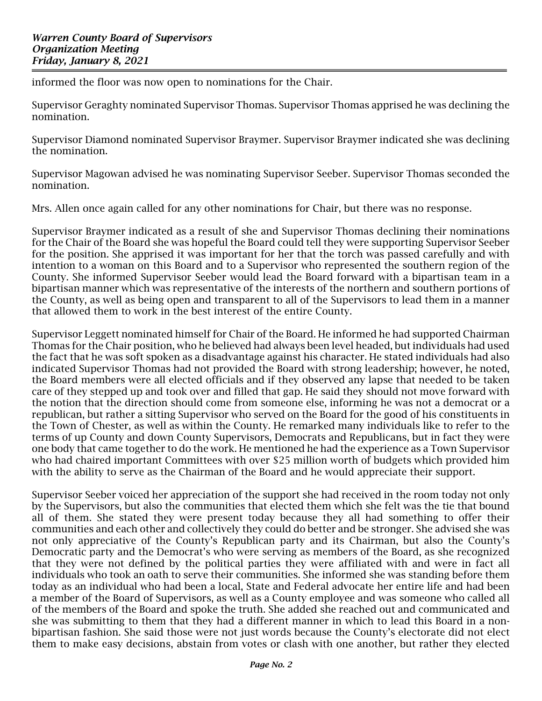informed the floor was now open to nominations for the Chair.

Supervisor Geraghty nominated Supervisor Thomas. Supervisor Thomas apprised he was declining the nomination.

Supervisor Diamond nominated Supervisor Braymer. Supervisor Braymer indicated she was declining the nomination.

Supervisor Magowan advised he was nominating Supervisor Seeber. Supervisor Thomas seconded the nomination.

Mrs. Allen once again called for any other nominations for Chair, but there was no response.

Supervisor Braymer indicated as a result of she and Supervisor Thomas declining their nominations for the Chair of the Board she was hopeful the Board could tell they were supporting Supervisor Seeber for the position. She apprised it was important for her that the torch was passed carefully and with intention to a woman on this Board and to a Supervisor who represented the southern region of the County. She informed Supervisor Seeber would lead the Board forward with a bipartisan team in a bipartisan manner which was representative of the interests of the northern and southern portions of the County, as well as being open and transparent to all of the Supervisors to lead them in a manner that allowed them to work in the best interest of the entire County.

Supervisor Leggett nominated himself for Chair of the Board. He informed he had supported Chairman Thomas for the Chair position, who he believed had always been level headed, but individuals had used the fact that he was soft spoken as a disadvantage against his character. He stated individuals had also indicated Supervisor Thomas had not provided the Board with strong leadership; however, he noted, the Board members were all elected officials and if they observed any lapse that needed to be taken care of they stepped up and took over and filled that gap. He said they should not move forward with the notion that the direction should come from someone else, informing he was not a democrat or a republican, but rather a sitting Supervisor who served on the Board for the good of his constituents in the Town of Chester, as well as within the County. He remarked many individuals like to refer to the terms of up County and down County Supervisors, Democrats and Republicans, but in fact they were one body that came together to do the work. He mentioned he had the experience as a Town Supervisor who had chaired important Committees with over \$25 million worth of budgets which provided him with the ability to serve as the Chairman of the Board and he would appreciate their support.

Supervisor Seeber voiced her appreciation of the support she had received in the room today not only by the Supervisors, but also the communities that elected them which she felt was the tie that bound all of them. She stated they were present today because they all had something to offer their communities and each other and collectively they could do better and be stronger. She advised she was not only appreciative of the County's Republican party and its Chairman, but also the County's Democratic party and the Democrat's who were serving as members of the Board, as she recognized that they were not defined by the political parties they were affiliated with and were in fact all individuals who took an oath to serve their communities. She informed she was standing before them today as an individual who had been a local, State and Federal advocate her entire life and had been a member of the Board of Supervisors, as well as a County employee and was someone who called all of the members of the Board and spoke the truth. She added she reached out and communicated and she was submitting to them that they had a different manner in which to lead this Board in a nonbipartisan fashion. She said those were not just words because the County's electorate did not elect them to make easy decisions, abstain from votes or clash with one another, but rather they elected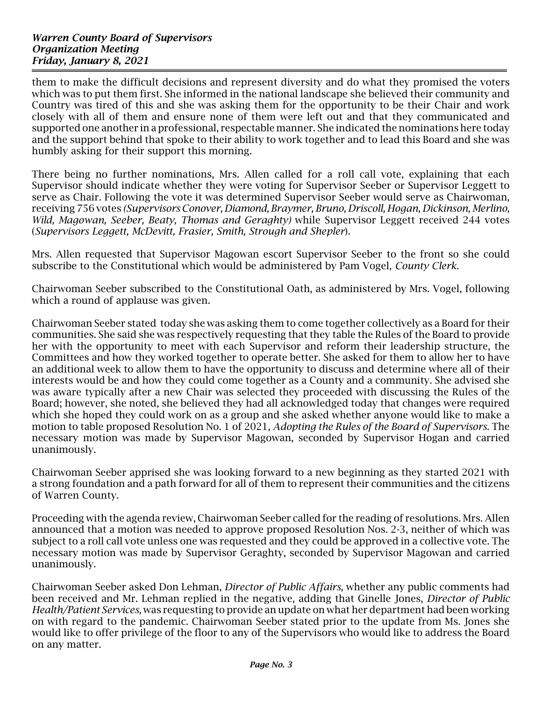them to make the difficult decisions and represent diversity and do what they promised the voters which was to put them first. She informed in the national landscape she believed their community and Country was tired of this and she was asking them for the opportunity to be their Chair and work closely with all of them and ensure none of them were left out and that they communicated and supported one another in a professional, respectable manner. She indicated the nominations here today and the support behind that spoke to their ability to work together and to lead this Board and she was humbly asking for their support this morning.

There being no further nominations, Mrs. Allen called for a roll call vote, explaining that each Supervisor should indicate whether they were voting for Supervisor Seeber or Supervisor Leggett to serve as Chair. Following the vote it was determined Supervisor Seeber would serve as Chairwoman, receiving 756 votes (Supervisors Conover, Diamond, Braymer, Bruno, Driscoll, Hogan, Dickinson, Merlino, Wild, Magowan, Seeber, Beaty, Thomas and Geraghty) while Supervisor Leggett received 244 votes (Supervisors Leggett, McDevitt, Frasier, Smith, Strough and Shepler).

Mrs. Allen requested that Supervisor Magowan escort Supervisor Seeber to the front so she could subscribe to the Constitutional which would be administered by Pam Vogel, *County Clerk.* 

Chairwoman Seeber subscribed to the Constitutional Oath, as administered by Mrs. Vogel, following which a round of applause was given.

Chairwoman Seeber stated today she was asking them to come together collectively as a Board for their communities. She said she was respectively requesting that they table the Rules of the Board to provide her with the opportunity to meet with each Supervisor and reform their leadership structure, the Committees and how they worked together to operate better. She asked for them to allow her to have an additional week to allow them to have the opportunity to discuss and determine where all of their interests would be and how they could come together as a County and a community. She advised she was aware typically after a new Chair was selected they proceeded with discussing the Rules of the Board; however, she noted, she believed they had all acknowledged today that changes were required which she hoped they could work on as a group and she asked whether anyone would like to make a motion to table proposed Resolution No. 1 of 2021, Adopting the Rules of the Board of Supervisors. The necessary motion was made by Supervisor Magowan, seconded by Supervisor Hogan and carried unanimously.

Chairwoman Seeber apprised she was looking forward to a new beginning as they started 2021 with a strong foundation and a path forward for all of them to represent their communities and the citizens of Warren County.

Proceeding with the agenda review, Chairwoman Seeber called for the reading of resolutions. Mrs. Allen announced that a motion was needed to approve proposed Resolution Nos. 2-3, neither of which was subject to a roll call vote unless one was requested and they could be approved in a collective vote. The necessary motion was made by Supervisor Geraghty, seconded by Supervisor Magowan and carried unanimously.

Chairwoman Seeber asked Don Lehman, Director of Public Affairs, whether any public comments had been received and Mr. Lehman replied in the negative, adding that Ginelle Jones, *Director of Public* Health/Patient Services, was requesting to provide an update on what her department had been working on with regard to the pandemic. Chairwoman Seeber stated prior to the update from Ms. Jones she would like to offer privilege of the floor to any of the Supervisors who would like to address the Board on any matter.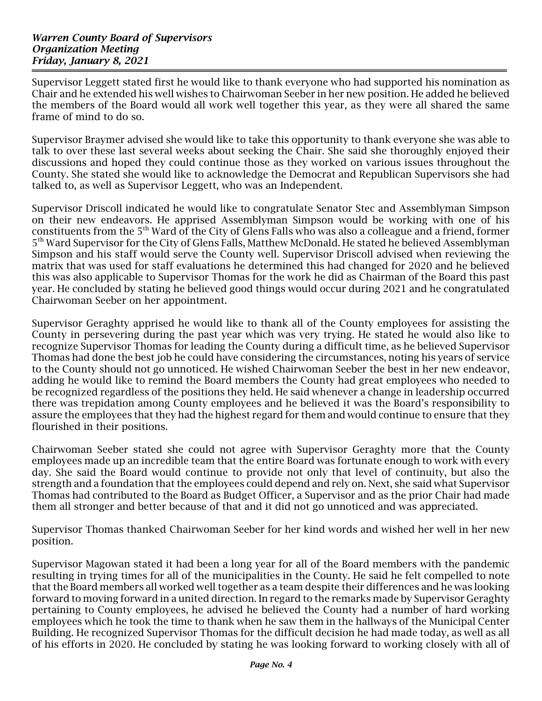Supervisor Leggett stated first he would like to thank everyone who had supported his nomination as Chair and he extended his well wishes to Chairwoman Seeber in her new position. He added he believed the members of the Board would all work well together this year, as they were all shared the same frame of mind to do so.

Supervisor Braymer advised she would like to take this opportunity to thank everyone she was able to talk to over these last several weeks about seeking the Chair. She said she thoroughly enjoyed their discussions and hoped they could continue those as they worked on various issues throughout the County. She stated she would like to acknowledge the Democrat and Republican Supervisors she had talked to, as well as Supervisor Leggett, who was an Independent.

Supervisor Driscoll indicated he would like to congratulate Senator Stec and Assemblyman Simpson on their new endeavors. He apprised Assemblyman Simpson would be working with one of his constituents from the 5<sup>th</sup> Ward of the City of Glens Falls who was also a colleague and a friend, former 5<sup>th</sup> Ward Supervisor for the City of Glens Falls, Matthew McDonald. He stated he believed Assemblyman Simpson and his staff would serve the County well. Supervisor Driscoll advised when reviewing the matrix that was used for staff evaluations he determined this had changed for 2020 and he believed this was also applicable to Supervisor Thomas for the work he did as Chairman of the Board this past year. He concluded by stating he believed good things would occur during 2021 and he congratulated Chairwoman Seeber on her appointment.

Supervisor Geraghty apprised he would like to thank all of the County employees for assisting the County in persevering during the past year which was very trying. He stated he would also like to recognize Supervisor Thomas for leading the County during a difficult time, as he believed Supervisor Thomas had done the best job he could have considering the circumstances, noting his years of service to the County should not go unnoticed. He wished Chairwoman Seeber the best in her new endeavor, adding he would like to remind the Board members the County had great employees who needed to be recognized regardless of the positions they held. He said whenever a change in leadership occurred there was trepidation among County employees and he believed it was the Board's responsibility to assure the employees that they had the highest regard for them and would continue to ensure that they flourished in their positions.

Chairwoman Seeber stated she could not agree with Supervisor Geraghty more that the County employees made up an incredible team that the entire Board was fortunate enough to work with every day. She said the Board would continue to provide not only that level of continuity, but also the strength and a foundation that the employees could depend and rely on. Next, she said what Supervisor Thomas had contributed to the Board as Budget Officer, a Supervisor and as the prior Chair had made them all stronger and better because of that and it did not go unnoticed and was appreciated.

Supervisor Thomas thanked Chairwoman Seeber for her kind words and wished her well in her new position.

Supervisor Magowan stated it had been a long year for all of the Board members with the pandemic resulting in trying times for all of the municipalities in the County. He said he felt compelled to note that the Board members all worked well together as a team despite their differences and he was looking forward to moving forward in a united direction. In regard to the remarks made by Supervisor Geraghty pertaining to County employees, he advised he believed the County had a number of hard working employees which he took the time to thank when he saw them in the hallways of the Municipal Center Building. He recognized Supervisor Thomas for the difficult decision he had made today, as well as all of his efforts in 2020. He concluded by stating he was looking forward to working closely with all of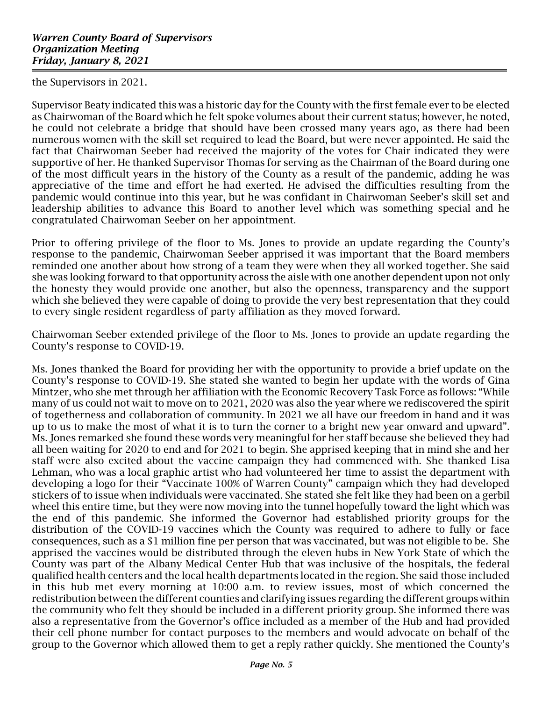the Supervisors in 2021.

Supervisor Beaty indicated this was a historic day for the County with the first female ever to be elected as Chairwoman of the Board which he felt spoke volumes about their current status; however, he noted, he could not celebrate a bridge that should have been crossed many years ago, as there had been numerous women with the skill set required to lead the Board, but were never appointed. He said the fact that Chairwoman Seeber had received the majority of the votes for Chair indicated they were supportive of her. He thanked Supervisor Thomas for serving as the Chairman of the Board during one of the most difficult years in the history of the County as a result of the pandemic, adding he was appreciative of the time and effort he had exerted. He advised the difficulties resulting from the pandemic would continue into this year, but he was confidant in Chairwoman Seeber's skill set and leadership abilities to advance this Board to another level which was something special and he congratulated Chairwoman Seeber on her appointment.

Prior to offering privilege of the floor to Ms. Jones to provide an update regarding the County's response to the pandemic, Chairwoman Seeber apprised it was important that the Board members reminded one another about how strong of a team they were when they all worked together. She said she was looking forward to that opportunity across the aisle with one another dependent upon not only the honesty they would provide one another, but also the openness, transparency and the support which she believed they were capable of doing to provide the very best representation that they could to every single resident regardless of party affiliation as they moved forward.

Chairwoman Seeber extended privilege of the floor to Ms. Jones to provide an update regarding the County's response to COVID-19.

Ms. Jones thanked the Board for providing her with the opportunity to provide a brief update on the County's response to COVID-19. She stated she wanted to begin her update with the words of Gina Mintzer, who she met through her affiliation with the Economic Recovery Task Force as follows: "While many of us could not wait to move on to 2021, 2020 was also the year where we rediscovered the spirit of togetherness and collaboration of community. In 2021 we all have our freedom in hand and it was up to us to make the most of what it is to turn the corner to a bright new year onward and upward". Ms. Jones remarked she found these words very meaningful for her staff because she believed they had all been waiting for 2020 to end and for 2021 to begin. She apprised keeping that in mind she and her staff were also excited about the vaccine campaign they had commenced with. She thanked Lisa Lehman, who was a local graphic artist who had volunteered her time to assist the department with developing a logo for their "Vaccinate 100% of Warren County" campaign which they had developed stickers of to issue when individuals were vaccinated. She stated she felt like they had been on a gerbil wheel this entire time, but they were now moving into the tunnel hopefully toward the light which was the end of this pandemic. She informed the Governor had established priority groups for the distribution of the COVID-19 vaccines which the County was required to adhere to fully or face consequences, such as a \$1 million fine per person that was vaccinated, but was not eligible to be. She apprised the vaccines would be distributed through the eleven hubs in New York State of which the County was part of the Albany Medical Center Hub that was inclusive of the hospitals, the federal qualified health centers and the local health departments located in the region. She said those included in this hub met every morning at 10:00 a.m. to review issues, most of which concerned the redistribution between the different counties and clarifying issues regarding the different groups within the community who felt they should be included in a different priority group. She informed there was also a representative from the Governor's office included as a member of the Hub and had provided their cell phone number for contact purposes to the members and would advocate on behalf of the group to the Governor which allowed them to get a reply rather quickly. She mentioned the County's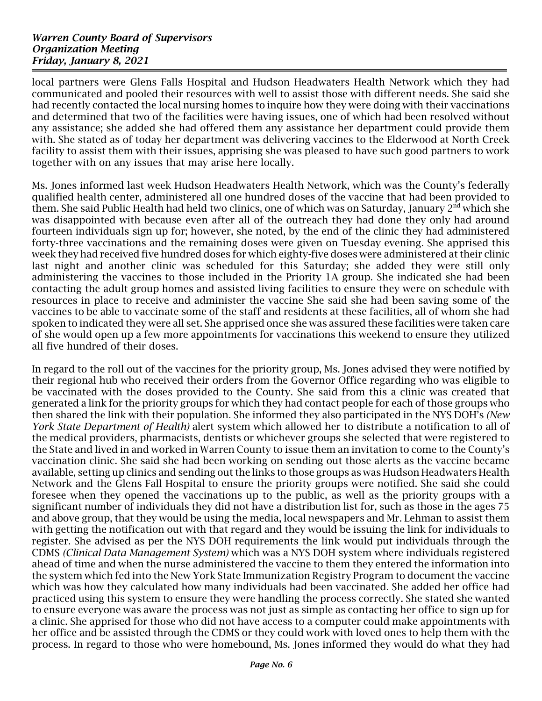local partners were Glens Falls Hospital and Hudson Headwaters Health Network which they had communicated and pooled their resources with well to assist those with different needs. She said she had recently contacted the local nursing homes to inquire how they were doing with their vaccinations and determined that two of the facilities were having issues, one of which had been resolved without any assistance; she added she had offered them any assistance her department could provide them with. She stated as of today her department was delivering vaccines to the Elderwood at North Creek facility to assist them with their issues, apprising she was pleased to have such good partners to work together with on any issues that may arise here locally.

Ms. Jones informed last week Hudson Headwaters Health Network, which was the County's federally qualified health center, administered all one hundred doses of the vaccine that had been provided to them. She said Public Health had held two clinics, one of which was on Saturday, January 2<sup>nd</sup> which she was disappointed with because even after all of the outreach they had done they only had around fourteen individuals sign up for; however, she noted, by the end of the clinic they had administered forty-three vaccinations and the remaining doses were given on Tuesday evening. She apprised this week they had received five hundred doses for which eighty-five doses were administered at their clinic last night and another clinic was scheduled for this Saturday; she added they were still only administering the vaccines to those included in the Priority 1A group. She indicated she had been contacting the adult group homes and assisted living facilities to ensure they were on schedule with resources in place to receive and administer the vaccine She said she had been saving some of the vaccines to be able to vaccinate some of the staff and residents at these facilities, all of whom she had spoken to indicated they were all set. She apprised once she was assured these facilities were taken care of she would open up a few more appointments for vaccinations this weekend to ensure they utilized all five hundred of their doses.

In regard to the roll out of the vaccines for the priority group, Ms. Jones advised they were notified by their regional hub who received their orders from the Governor Office regarding who was eligible to be vaccinated with the doses provided to the County. She said from this a clinic was created that generated a link for the priority groups for which they had contact people for each of those groups who then shared the link with their population. She informed they also participated in the NYS DOH's (New York State Department of Health) alert system which allowed her to distribute a notification to all of the medical providers, pharmacists, dentists or whichever groups she selected that were registered to the State and lived in and worked in Warren County to issue them an invitation to come to the County's vaccination clinic. She said she had been working on sending out those alerts as the vaccine became available, setting up clinics and sending out the links to those groups as was Hudson Headwaters Health Network and the Glens Fall Hospital to ensure the priority groups were notified. She said she could foresee when they opened the vaccinations up to the public, as well as the priority groups with a significant number of individuals they did not have a distribution list for, such as those in the ages 75 and above group, that they would be using the media, local newspapers and Mr. Lehman to assist them with getting the notification out with that regard and they would be issuing the link for individuals to register. She advised as per the NYS DOH requirements the link would put individuals through the CDMS (Clinical Data Management System) which was a NYS DOH system where individuals registered ahead of time and when the nurse administered the vaccine to them they entered the information into the system which fed into the New York State Immunization Registry Program to document the vaccine which was how they calculated how many individuals had been vaccinated. She added her office had practiced using this system to ensure they were handling the process correctly. She stated she wanted to ensure everyone was aware the process was not just as simple as contacting her office to sign up for a clinic. She apprised for those who did not have access to a computer could make appointments with her office and be assisted through the CDMS or they could work with loved ones to help them with the process. In regard to those who were homebound, Ms. Jones informed they would do what they had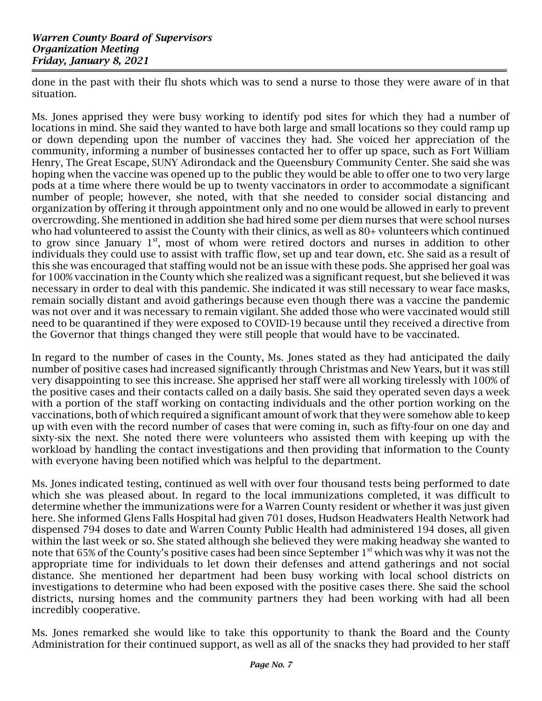done in the past with their flu shots which was to send a nurse to those they were aware of in that situation.

Ms. Jones apprised they were busy working to identify pod sites for which they had a number of locations in mind. She said they wanted to have both large and small locations so they could ramp up or down depending upon the number of vaccines they had. She voiced her appreciation of the community, informing a number of businesses contacted her to offer up space, such as Fort William Henry, The Great Escape, SUNY Adirondack and the Queensbury Community Center. She said she was hoping when the vaccine was opened up to the public they would be able to offer one to two very large pods at a time where there would be up to twenty vaccinators in order to accommodate a significant number of people; however, she noted, with that she needed to consider social distancing and organization by offering it through appointment only and no one would be allowed in early to prevent overcrowding. She mentioned in addition she had hired some per diem nurses that were school nurses who had volunteered to assist the County with their clinics, as well as 80+ volunteers which continued to grow since January  $1<sup>st</sup>$ , most of whom were retired doctors and nurses in addition to other individuals they could use to assist with traffic flow, set up and tear down, etc. She said as a result of this she was encouraged that staffing would not be an issue with these pods. She apprised her goal was for 100% vaccination in the County which she realized was a significant request, but she believed it was necessary in order to deal with this pandemic. She indicated it was still necessary to wear face masks, remain socially distant and avoid gatherings because even though there was a vaccine the pandemic was not over and it was necessary to remain vigilant. She added those who were vaccinated would still need to be quarantined if they were exposed to COVID-19 because until they received a directive from the Governor that things changed they were still people that would have to be vaccinated.

In regard to the number of cases in the County, Ms. Jones stated as they had anticipated the daily number of positive cases had increased significantly through Christmas and New Years, but it was still very disappointing to see this increase. She apprised her staff were all working tirelessly with 100% of the positive cases and their contacts called on a daily basis. She said they operated seven days a week with a portion of the staff working on contacting individuals and the other portion working on the vaccinations, both of which required a significant amount of work that they were somehow able to keep up with even with the record number of cases that were coming in, such as fifty-four on one day and sixty-six the next. She noted there were volunteers who assisted them with keeping up with the workload by handling the contact investigations and then providing that information to the County with everyone having been notified which was helpful to the department.

Ms. Jones indicated testing, continued as well with over four thousand tests being performed to date which she was pleased about. In regard to the local immunizations completed, it was difficult to determine whether the immunizations were for a Warren County resident or whether it was just given here. She informed Glens Falls Hospital had given 701 doses, Hudson Headwaters Health Network had dispensed 794 doses to date and Warren County Public Health had administered 194 doses, all given within the last week or so. She stated although she believed they were making headway she wanted to note that 65% of the County's positive cases had been since September 1<sup>st</sup> which was why it was not the appropriate time for individuals to let down their defenses and attend gatherings and not social distance. She mentioned her department had been busy working with local school districts on investigations to determine who had been exposed with the positive cases there. She said the school districts, nursing homes and the community partners they had been working with had all been incredibly cooperative.

Ms. Jones remarked she would like to take this opportunity to thank the Board and the County Administration for their continued support, as well as all of the snacks they had provided to her staff